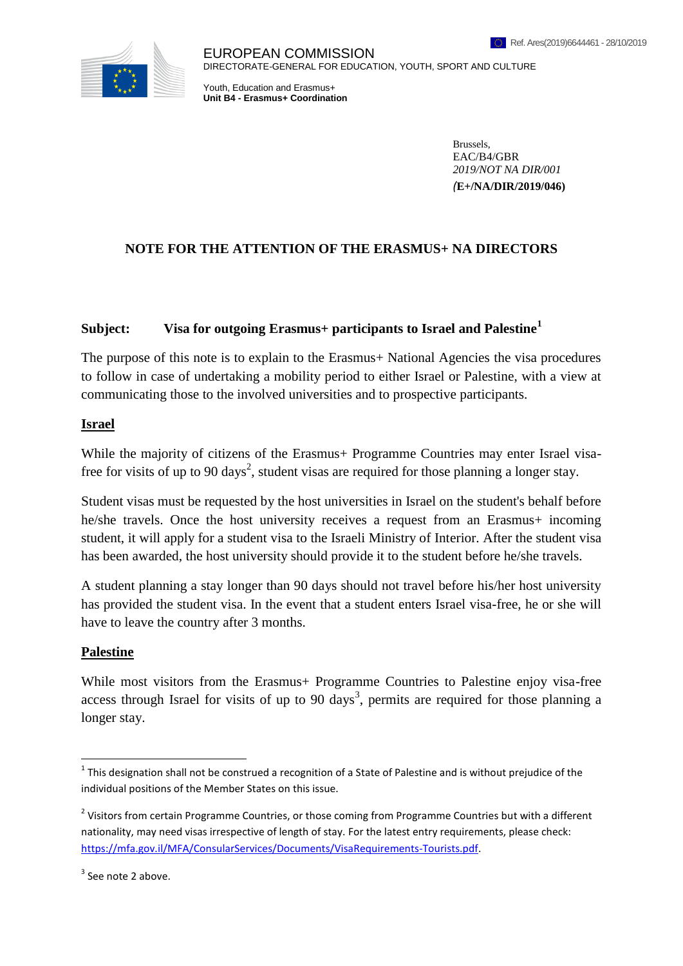

EUROPEAN COMMISSION DIRECTORATE-GENERAL FOR EDUCATION, YOUTH, SPORT AND CULTURE

Youth, Education and Erasmus+ **Unit B4 - Erasmus+ Coordination**

> Brussels, EAC/B4/GBR *2019/NOT NA DIR/001 (***E+/NA/DIR/2019/046)**

## **NOTE FOR THE ATTENTION OF THE ERASMUS+ NA DIRECTORS**

## **Subject: Visa for outgoing Erasmus+ participants to Israel and Palestine<sup>1</sup>**

The purpose of this note is to explain to the Erasmus + National Agencies the visa procedures to follow in case of undertaking a mobility period to either Israel or Palestine, with a view at communicating those to the involved universities and to prospective participants.

## **Israel**

While the majority of citizens of the Erasmus+ Programme Countries may enter Israel visafree for visits of up to 90 days<sup>2</sup>, student visas are required for those planning a longer stay.

Student visas must be requested by the host universities in Israel on the student's behalf before he/she travels. Once the host university receives a request from an Erasmus+ incoming student, it will apply for a student visa to the Israeli Ministry of Interior. After the student visa has been awarded, the host university should provide it to the student before he/she travels.

A student planning a stay longer than 90 days should not travel before his/her host university has provided the student visa. In the event that a student enters Israel visa-free, he or she will have to leave the country after 3 months.

## **Palestine**

1

While most visitors from the Erasmus+ Programme Countries to Palestine enjoy visa-free access through Israel for visits of up to 90 days<sup>3</sup>, permits are required for those planning a longer stay.

 $1$  This designation shall not be construed a recognition of a State of Palestine and is without prejudice of the individual positions of the Member States on this issue.

<sup>&</sup>lt;sup>2</sup> Visitors from certain Programme Countries, or those coming from Programme Countries but with a different nationality, may need visas irrespective of length of stay. For the latest entry requirements, please check: [https://mfa.gov.il/MFA/ConsularServices/Documents/VisaRequirements-Tourists.pdf.](https://mfa.gov.il/MFA/ConsularServices/Documents/VisaRequirements-Tourists.pdf)

 $3$  See note 2 above.